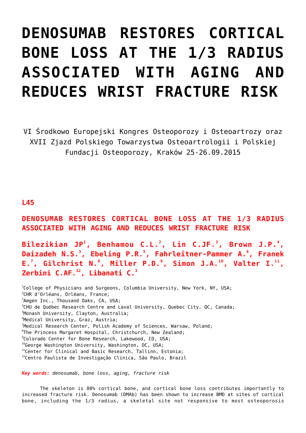## **[DENOSUMAB RESTORES CORTICAL](https://osteoporoza.pl/denosumab-restores-cortical-bone-loss-at-the-13-radius-associated-with-aging-and-reduces-wrist-frac/) [BONE LOSS AT THE 1/3 RADIUS](https://osteoporoza.pl/denosumab-restores-cortical-bone-loss-at-the-13-radius-associated-with-aging-and-reduces-wrist-frac/) [ASSOCIATED WITH AGING AND](https://osteoporoza.pl/denosumab-restores-cortical-bone-loss-at-the-13-radius-associated-with-aging-and-reduces-wrist-frac/) [REDUCES WRIST FRACTURE RISK](https://osteoporoza.pl/denosumab-restores-cortical-bone-loss-at-the-13-radius-associated-with-aging-and-reduces-wrist-frac/)**

VI Środkowo Europejski Kongres Osteoporozy i Osteoartrozy oraz XVII Zjazd Polskiego Towarzystwa Osteoartrologii i Polskiej Fundacji Osteoporozy, Kraków 25-26.09.2015

## **L45**

**DENOSUMAB RESTORES CORTICAL BONE LOSS AT THE 1/3 RADIUS ASSOCIATED WITH AGING AND REDUCES WRIST FRACTURE RISK**

**Bilezikian JP<sup>1</sup> , Benhamou C.L.<sup>2</sup> , Lin C.JF.<sup>3</sup> , Brown J.P.<sup>4</sup> , Daizadeh N.S.<sup>3</sup> , Ebeling P.R.<sup>5</sup> , Fahrleitner-Pammer A.<sup>6</sup> , Franek E.<sup>7</sup> , Gilchrist N.<sup>8</sup> , Miller P.D.<sup>9</sup> , Simon J.A.<sup>10</sup>, Valter I.<sup>11</sup> , Zerbini C.AF.<sup>12</sup>, Libanati C.<sup>3</sup>**

 College of Physicians and Surgeons, Columbia University, New York, NY, USA; CHR d'Orléans, Orléans, France; Amgen Inc., Thousand Oaks, CA, USA; CHU de Québec Research Centre and Laval University, Quebec City, QC, Canada; Monash University, Clayton, Australia; Medical University, Graz, Austria; <sup>7</sup>Medical Research Center, Polish Academy of Sciences, Warsaw, Poland;  ${}^{8}$ The Princess Margaret Hospital, Christchurch, New Zealand; Colorado Center for Bone Research, Lakewood, CO, USA;  $10^0$ George Washington University, Washington, DC, USA; <sup>11</sup>Center for Clinical and Basic Research, Tallinn, Estonia; Centro Paulista de Investigação Clinica, São Paulo, Brazil

*Key words: denosumab, bone loss, aging, fracture risk*

The skeleton is 80% cortical bone, and cortical bone loss contributes importantly to increased fracture risk. Denosumab (DMAb) has been shown to increase BMD at sites of cortical bone, including the 1/3 radius, a skeletal site not responsive to most osteoporosis